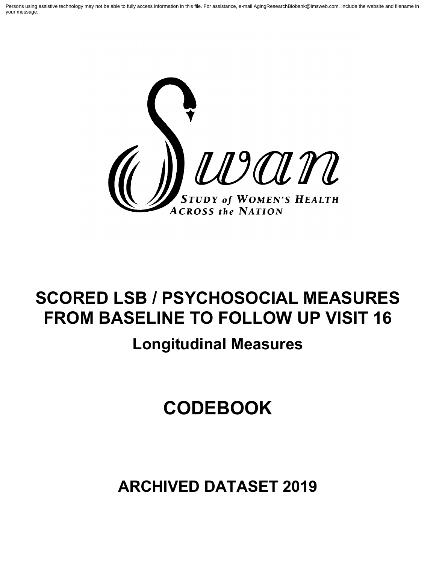Persons using assistive technology may not be able to fully access information in this file. For assistance, e-mail AgingResearchBiobank@imsweb.com. Include the website and filename in your message.



# **SCORED LSB / PSYCHOSOCIAL MEASURES FROM BASELINE TO FOLLOW UP VISIT 16**

# **Longitudinal Measures**

# **CODEBOOK**

# **ARCHIVED DATASET 2019**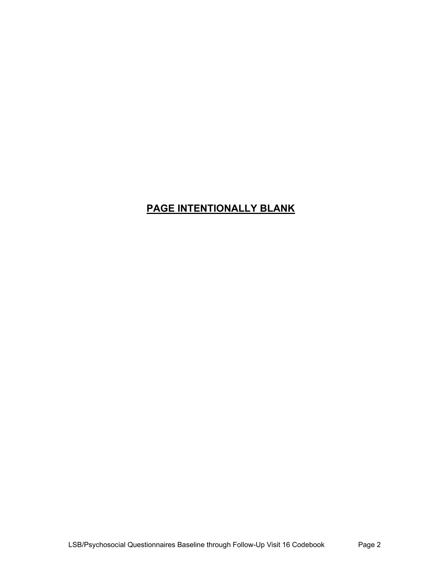# **PAGE INTENTIONALLY BLANK**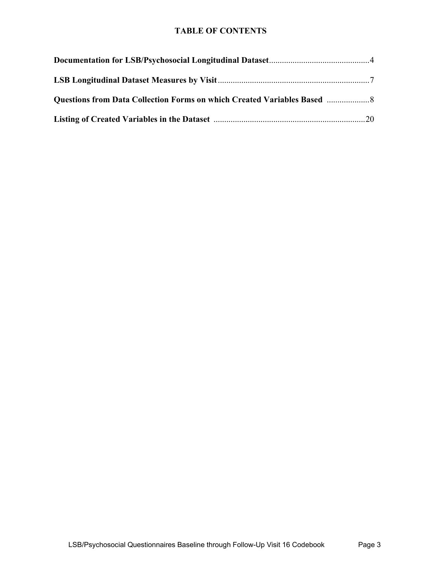# **TABLE OF CONTENTS**

| Questions from Data Collection Forms on which Created Variables Based |  |
|-----------------------------------------------------------------------|--|
|                                                                       |  |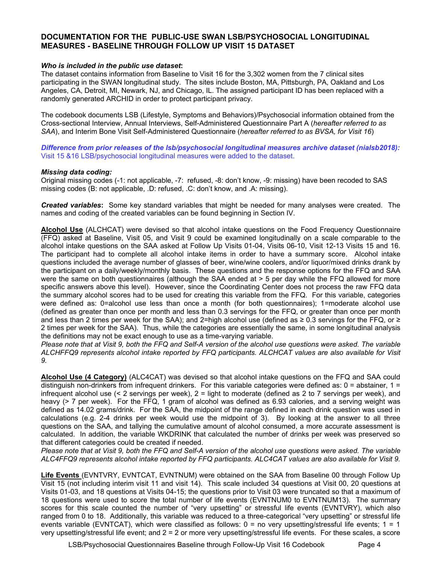#### **DOCUMENTATION FOR THE PUBLIC-USE SWAN LSB/PSYCHOSOCIAL LONGITUDINAL MEASURES - BASELINE THROUGH FOLLOW UP VISIT 15 DATASET**

#### *Who is included in the public use dataset***:**

The dataset contains information from Baseline to Visit 16 for the 3,302 women from the 7 clinical sites participating in the SWAN longitudinal study. The sites include Boston, MA, Pittsburgh, PA, Oakland and Los Angeles, CA, Detroit, MI, Newark, NJ, and Chicago, IL. The assigned participant ID has been replaced with a randomly generated ARCHID in order to protect participant privacy.

The codebook documents LSB (Lifestyle, Symptoms and Behaviors)/Psychosocial information obtained from the Cross-sectional Interview, Annual Interviews, Self-Administered Questionnaire Part A (*hereafter referred to as SAA*), and Interim Bone Visit Self-Administered Questionnaire (*hereafter referred to as BVSA, for Visit 16*)

*Difference from prior releases of the lsb/psychosocial longitudinal measures archive dataset (nialsb2018):*  Visit 15 &16 LSB/psychosocial longitudinal measures were added to the dataset.

#### *Missing data coding:*

Original missing codes (-1: not applicable, -7: refused, -8: don't know, -9: missing) have been recoded to SAS missing codes (B: not applicable, .D: refused, .C: don't know, and .A: missing).

*Created variables***:** Some key standard variables that might be needed for many analyses were created. The names and coding of the created variables can be found beginning in Section IV.

**Alcohol Use** (ALCHCAT) were devised so that alcohol intake questions on the Food Frequency Questionnaire (FFQ) asked at Baseline, Visit 05, and Visit 9 could be examined longitudinally on a scale comparable to the alcohol intake questions on the SAA asked at Follow Up Visits 01-04, Visits 06-10, Visit 12-13 Visits 15 and 16. The participant had to complete all alcohol intake items in order to have a summary score. Alcohol intake questions included the average number of glasses of beer, wine/wine coolers, and/or liquor/mixed drinks drank by the participant on a daily/weekly/monthly basis. These questions and the response options for the FFQ and SAA were the same on both questionnaires (although the SAA ended at > 5 per day while the FFQ allowed for more specific answers above this level). However, since the Coordinating Center does not process the raw FFQ data the summary alcohol scores had to be used for creating this variable from the FFQ. For this variable, categories were defined as: 0=alcohol use less than once a month (for both questionnaires); 1=moderate alcohol use (defined as greater than once per month and less than 0.3 servings for the FFQ, or greater than once per month and less than 2 times per week for the SAA); and 2=high alcohol use (defined as ≥ 0.3 servings for the FFQ, or ≥ 2 times per week for the SAA). Thus, while the categories are essentially the same, in some longitudinal analysis the definitions may not be exact enough to use as a time-varying variable.

*Please note that at Visit 9, both the FFQ and Self-A version of the alcohol use questions were asked. The variable ALCHFFQ9 represents alcohol intake reported by FFQ participants. ALCHCAT values are also available for Visit 9.*

**Alcohol Use (4 Category)** (ALC4CAT) was devised so that alcohol intake questions on the FFQ and SAA could distinguish non-drinkers from infrequent drinkers. For this variable categories were defined as:  $0 =$  abstainer,  $1 =$ infrequent alcohol use (< 2 servings per week), 2 = light to moderate (defined as 2 to 7 servings per week), and heavy (> 7 per week). For the FFQ, 1 gram of alcohol was defined as 6.93 calories, and a serving weight was defined as 14.02 grams/drink. For the SAA, the midpoint of the range defined in each drink question was used in calculations (e.g. 2-4 drinks per week would use the midpoint of 3). By looking at the answer to all three questions on the SAA, and tallying the cumulative amount of alcohol consumed, a more accurate assessment is calculated. In addition, the variable WKDRINK that calculated the number of drinks per week was preserved so that different categories could be created if needed.

*Please note that at Visit 9, both the FFQ and Self-A version of the alcohol use questions were asked. The variable ALC4FFQ9 represents alcohol intake reported by FFQ participants. ALC4CAT values are also available for Visit 9.*

**Life Events** (EVNTVRY, EVNTCAT, EVNTNUM) were obtained on the SAA from Baseline 00 through Follow Up Visit 15 (not including interim visit 11 and visit 14). This scale included 34 questions at Visit 00, 20 questions at Visits 01-03, and 18 questions at Visits 04-15; the questions prior to Visit 03 were truncated so that a maximum of 18 questions were used to score the total number of life events (EVNTNUM0 to EVNTNUM13). The summary scores for this scale counted the number of "very upsetting" or stressful life events (EVNTVRY), which also ranged from 0 to 18. Additionally, this variable was reduced to a three-categorical "very upsetting" or stressful life events variable (EVNTCAT), which were classified as follows:  $0 =$  no very upsetting/stressful life events;  $1 = 1$ very upsetting/stressful life event; and 2 = 2 or more very upsetting/stressful life events. For these scales, a score

LSB/Psychosocial Questionnaires Baseline through Follow-Up Visit 16 Codebook Page 4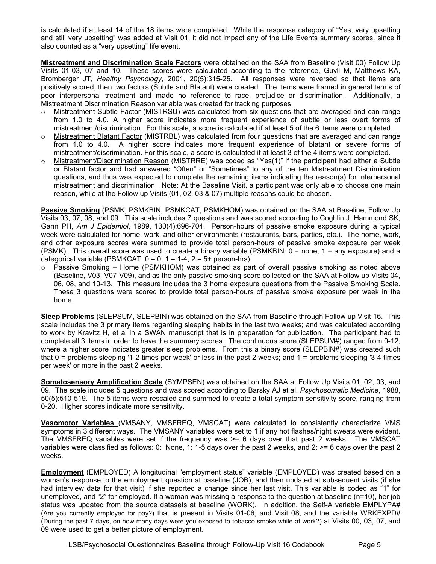is calculated if at least 14 of the 18 items were completed. While the response category of "Yes, very upsetting and still very upsetting" was added at Visit 01, it did not impact any of the Life Events summary scores, since it also counted as a "very upsetting" life event.

**Mistreatment and Discrimination Scale Factors** were obtained on the SAA from Baseline (Visit 00) Follow Up Visits 01-03, 07 and 10. These scores were calculated according to the reference, Guyll M, Matthews KA, Bromberger JT, *Healthy Psychology*, 2001, 20(5):315-25. All responses were reversed so that items are positively scored, then two factors (Subtle and Blatant) were created. The items were framed in general terms of poor interpersonal treatment and made no reference to race, prejudice or discrimination. Additionally, a Mistreatment Discrimination Reason variable was created for tracking purposes.

- Mistreatment Subtle Factor (MISTRSU) was calculated from six questions that are averaged and can range from 1.0 to 4.0. A higher score indicates more frequent experience of subtle or less overt forms of mistreatment/discrimination. For this scale, a score is calculated if at least 5 of the 6 items were completed.
- o Mistreatment Blatant Factor (MISTRBL) was calculated from four questions that are averaged and can range from 1.0 to 4.0. A higher score indicates more frequent experience of blatant or severe forms of mistreatment/discrimination. For this scale, a score is calculated if at least 3 of the 4 items were completed.
- o Mistreatment/Discrimination Reason (MISTRRE) was coded as "Yes(1)" if the participant had either a Subtle or Blatant factor and had answered "Often" or "Sometimes" to any of the ten Mistreatment Discrimination questions, and thus was expected to complete the remaining items indicating the reason(s) for interpersonal mistreatment and discrimination. Note: At the Baseline Visit, a participant was only able to choose one main reason, while at the Follow up Visits (01, 02, 03 & 07) multiple reasons could be chosen.

**Passive Smoking** (PSMK, PSMKBIN, PSMKCAT, PSMKHOM) was obtained on the SAA at Baseline, Follow Up Visits 03, 07, 08, and 09. This scale includes 7 questions and was scored according to Coghlin J, Hammond SK, Gann PH, *Am J Epidemiol*, 1989, 130(4):696-704. Person-hours of passive smoke exposure during a typical week were calculated for home, work, and other environments (restaurants, bars, parties, etc.). The home, work, and other exposure scores were summed to provide total person-hours of passive smoke exposure per week (PSMK). This overall score was used to create a binary variable (PSMKBIN: 0 = none, 1 = any exposure) and a categorical variable (PSMKCAT:  $0 = 0$ ,  $1 = 1-4$ ,  $2 = 5+$  person-hrs).

Passive Smoking – Home (PSMKHOM) was obtained as part of overall passive smoking as noted above (Baseline, V03, V07-V09), and as the only passive smoking score collected on the SAA at Follow up Visits 04, 06, 08, and 10-13. This measure includes the 3 home exposure questions from the Passive Smoking Scale. These 3 questions were scored to provide total person-hours of passive smoke exposure per week in the home.

**Sleep Problems** (SLEPSUM, SLEPBIN) was obtained on the SAA from Baseline through Follow up Visit 16. This scale includes the 3 primary items regarding sleeping habits in the last two weeks; and was calculated according to work by Kravitz H, et al in a SWAN manuscript that is in preparation for publication. The participant had to complete all 3 items in order to have the summary scores. The continuous score (SLEPSUM#) ranged from 0-12, where a higher score indicates greater sleep problems. From this a binary score (SLEPBIN#) was created such that 0 = problems sleeping '1-2 times per week' or less in the past 2 weeks; and 1 = problems sleeping '3-4 times per week' or more in the past 2 weeks.

**Somatosensory Amplification Scale** (SYMPSEN) was obtained on the SAA at Follow Up Visits 01, 02, 03, and 09. The scale includes 5 questions and was scored according to Barsky AJ et al, *Psychosomatic Medicine*, 1988, 50(5):510-519. The 5 items were rescaled and summed to create a total symptom sensitivity score, ranging from 0-20. Higher scores indicate more sensitivity.

**Vasomotor Variables** (VMSANY, VMSFREQ, VMSCAT) were calculated to consistently characterize VMS symptoms in 3 different ways. The VMSANY variables were set to 1 if any hot flashes/night sweats were evident. The VMSFREQ variables were set if the frequency was >= 6 days over that past 2 weeks. The VMSCAT variables were classified as follows: 0: None, 1: 1-5 days over the past 2 weeks, and 2: >= 6 days over the past 2 weeks.

**Employment** (EMPLOYED) A longitudinal "employment status" variable (EMPLOYED) was created based on a woman's response to the employment question at baseline (JOB), and then updated at subsequent visits (if she had interview data for that visit) if she reported a change since her last visit. This variable is coded as "1" for unemployed, and "2" for employed. If a woman was missing a response to the question at baseline (n=10), her job status was updated from the source datasets at baseline (WORK). In addition, the Self-A variable EMPLYPA# (Are you currently employed for pay?) that is present in Visits 01-06, and Visit 08, and the variable WRKEXPD# (During the past 7 days, on how many days were you exposed to tobacco smoke while at work?) at Visits 00, 03, 07, and 09 were used to get a better picture of employment.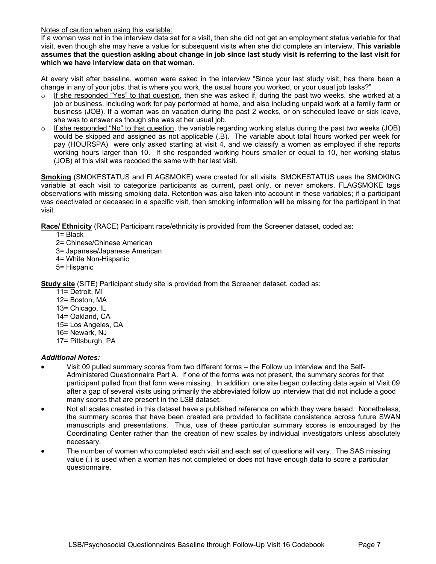Notes of caution when using this variable:

If a woman was not in the interview data set for a visit, then she did not get an employment status variable for that visit, even though she may have a value for subsequent visits when she did complete an interview. **This variable assumes that the question asking about change in job since last study visit is referring to the last visit for which we have interview data on that woman.**

At every visit after baseline, women were asked in the interview "Since your last study visit, has there been a change in any of your jobs, that is where you work, the usual hours you worked, or your usual job tasks?"

- If she responded "Yes" to that question, then she was asked if, during the past two weeks, she worked at a job or business, including work for pay performed at home, and also including unpaid work at a family farm or business (JOB). If a woman was on vacation during the past 2 weeks, or on scheduled leave or sick leave, she was to answer as though she was at her usual job.
- $\circ$  If she responded "No" to that question, the variable regarding working status during the past two weeks (JOB) would be skipped and assigned as not applicable (.B). The variable about total hours worked per week for pay (HOURSPA) were only asked starting at visit 4, and we classify a women as employed if she reports working hours larger than 10. If she responded working hours smaller or equal to 10, her working status (JOB) at this visit was recoded the same with her last visit.

**Smoking** (SMOKESTATUS and FLAGSMOKE) were created for all visits. SMOKESTATUS uses the SMOKING variable at each visit to categorize participants as current, past only, or never smokers. FLAGSMOKE tags observations with missing smoking data. Retention was also taken into account in these variables; if a participant was deactivated or deceased in a specific visit, then smoking information will be missing for the participant in that visit.

**Race/ Ethnicity** (RACE) Participant race/ethnicity is provided from the Screener dataset, coded as:

- 1= Black
- 2= Chinese/Chinese American
- 3= Japanese/Japanese American
- 4= White Non-Hispanic
- 5= Hispanic

**Study site** (SITE) Participant study site is provided from the Screener dataset, coded as:

- 11= Detroit, MI
- 12= Boston, MA
- 13= Chicago, IL
- 14= Oakland, CA
- 15= Los Angeles, CA
- 16= Newark, NJ
- 17= Pittsburgh, PA

#### *Additional Notes:*

- Visit 09 pulled summary scores from two different forms the Follow up Interview and the Self-Administered Questionnaire Part A. If one of the forms was not present, the summary scores for that participant pulled from that form were missing. In addition, one site began collecting data again at Visit 09 after a gap of several visits using primarily the abbreviated follow up interview that did not include a good many scores that are present in the LSB dataset.
- Not all scales created in this dataset have a published reference on which they were based. Nonetheless, the summary scores that have been created are provided to facilitate consistence across future SWAN manuscripts and presentations. Thus, use of these particular summary scores is encouraged by the Coordinating Center rather than the creation of new scales by individual investigators unless absolutely necessary.
- The number of women who completed each visit and each set of questions will vary. The SAS missing value (.) is used when a woman has not completed or does not have enough data to score a particular questionnaire.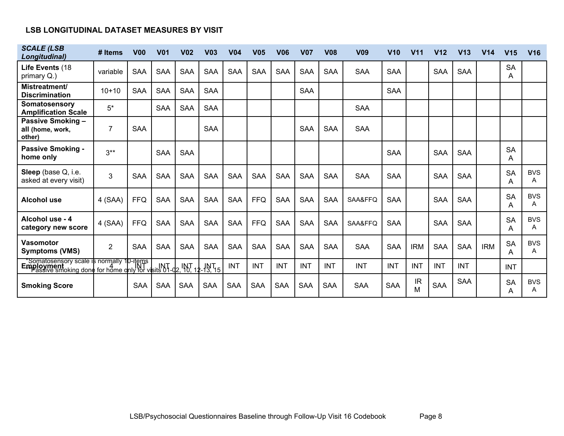# **LSB LONGITUDINAL DATASET MEASURES BY VISIT**

| <b>SCALE (LSB</b><br>Longitudinal)                                                                                 | # Items        | <b>V00</b> | <b>V01</b> | <b>V02</b> | V <sub>03</sub> | V <sub>04</sub> | V05        | V06        | <b>V07</b> | <b>V08</b> | <b>V09</b> | V <sub>10</sub> | <b>V11</b>     | V <sub>12</sub> | V <sub>13</sub> | V <sub>14</sub> | V <sub>15</sub> | <b>V16</b>      |
|--------------------------------------------------------------------------------------------------------------------|----------------|------------|------------|------------|-----------------|-----------------|------------|------------|------------|------------|------------|-----------------|----------------|-----------------|-----------------|-----------------|-----------------|-----------------|
| Life Events (18<br>primary Q.)                                                                                     | variable       | <b>SAA</b> | <b>SAA</b> | <b>SAA</b> | <b>SAA</b>      | <b>SAA</b>      | <b>SAA</b> | <b>SAA</b> | <b>SAA</b> | <b>SAA</b> | <b>SAA</b> | <b>SAA</b>      |                | SAA             | <b>SAA</b>      |                 | <b>SA</b><br>A  |                 |
| <b>Mistreatment/</b><br><b>Discrimination</b>                                                                      | $10+10$        | <b>SAA</b> | <b>SAA</b> | <b>SAA</b> | <b>SAA</b>      |                 |            |            | <b>SAA</b> |            |            | <b>SAA</b>      |                |                 |                 |                 |                 |                 |
| Somatosensory<br><b>Amplification Scale</b>                                                                        | $5^*$          |            | <b>SAA</b> | <b>SAA</b> | <b>SAA</b>      |                 |            |            |            |            | <b>SAA</b> |                 |                |                 |                 |                 |                 |                 |
| Passive Smoking -<br>all (home, work,<br>other)                                                                    | $\overline{7}$ | <b>SAA</b> |            |            | <b>SAA</b>      |                 |            |            | <b>SAA</b> | <b>SAA</b> | <b>SAA</b> |                 |                |                 |                 |                 |                 |                 |
| <b>Passive Smoking -</b><br>home only                                                                              | $3***$         |            | <b>SAA</b> | <b>SAA</b> |                 |                 |            |            |            |            |            | <b>SAA</b>      |                | <b>SAA</b>      | <b>SAA</b>      |                 | <b>SA</b><br>A  |                 |
| Sleep (base Q, i.e.<br>asked at every visit)                                                                       | 3              | <b>SAA</b> | <b>SAA</b> | <b>SAA</b> | <b>SAA</b>      | <b>SAA</b>      | <b>SAA</b> | SAA        | <b>SAA</b> | SAA        | <b>SAA</b> | <b>SAA</b>      |                | SAA             | <b>SAA</b>      |                 | <b>SA</b><br>A  | <b>BVS</b><br>A |
| <b>Alcohol use</b>                                                                                                 | 4(SAA)         | <b>FFQ</b> | SAA        | <b>SAA</b> | <b>SAA</b>      | SAA             | <b>FFQ</b> | <b>SAA</b> | <b>SAA</b> | <b>SAA</b> | SAA&FFQ    | <b>SAA</b>      |                | <b>SAA</b>      | <b>SAA</b>      |                 | <b>SA</b><br>A  | <b>BVS</b><br>A |
| Alcohol use - 4<br>category new score                                                                              | $4$ (SAA)      | <b>FFQ</b> | <b>SAA</b> | <b>SAA</b> | <b>SAA</b>      | <b>SAA</b>      | <b>FFQ</b> | SAA        | <b>SAA</b> | SAA        | SAA&FFQ    | <b>SAA</b>      |                | <b>SAA</b>      | <b>SAA</b>      |                 | <b>SA</b><br>A  | <b>BVS</b><br>A |
| Vasomotor<br><b>Symptoms (VMS)</b>                                                                                 | $\overline{2}$ | <b>SAA</b> | <b>SAA</b> | <b>SAA</b> | <b>SAA</b>      | <b>SAA</b>      | <b>SAA</b> | <b>SAA</b> | <b>SAA</b> | <b>SAA</b> | <b>SAA</b> | <b>SAA</b>      | <b>IRM</b>     | <b>SAA</b>      | <b>SAA</b>      | <b>IRM</b>      | <b>SA</b><br>A  | <b>BVS</b><br>A |
| Somatosensory scale is normally 10-items<br>Employment<br>Finally to the driver of the driver of the UNT 12, INT 1 |                |            |            |            | $12 - 13.75$    | <b>INT</b>      | <b>INT</b> | <b>INT</b> | <b>INT</b> | <b>INT</b> | <b>INT</b> | <b>INT</b>      | <b>INT</b>     | <b>INT</b>      | <b>INT</b>      |                 | <b>INT</b>      |                 |
| <b>Smoking Score</b>                                                                                               |                | <b>SAA</b> | <b>SAA</b> | <b>SAA</b> | <b>SAA</b>      | <b>SAA</b>      | <b>SAA</b> | <b>SAA</b> | SAA        | <b>SAA</b> | <b>SAA</b> | <b>SAA</b>      | <b>IR</b><br>M | <b>SAA</b>      | <b>SAA</b>      |                 | <b>SA</b><br>A  | <b>BVS</b><br>A |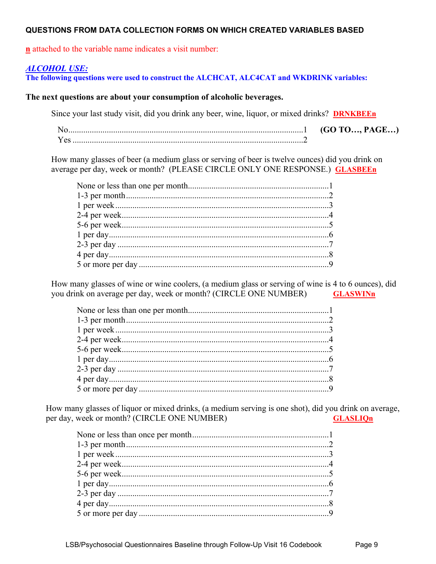### QUESTIONS FROM DATA COLLECTION FORMS ON WHICH CREATED VARIABLES BASED

 $\underline{\mathbf{n}}$  attached to the variable name indicates a visit number:

# **ALCOHOL USE:**

The following questions were used to construct the ALCHCAT, ALC4CAT and WKDRINK variables:

#### The next questions are about your consumption of alcoholic beverages.

Since your last study visit, did you drink any beer, wine, liquor, or mixed drinks? DRNKBEEn

| (GO TO, PAGE) |
|---------------|
|               |

How many glasses of beer (a medium glass or serving of beer is twelve ounces) did you drink on average per day, week or month? (PLEASE CIRCLE ONLY ONE RESPONSE.) GLASBEEn

How many glasses of wine or wine coolers, (a medium glass or serving of wine is 4 to 6 ounces), did you drink on average per day, week or month? (CIRCLE ONE NUMBER) **GLASWINn** 

How many glasses of liquor or mixed drinks, (a medium serving is one shot), did you drink on average, per day, week or month? (CIRCLE ONE NUMBER) **GLASLIOn**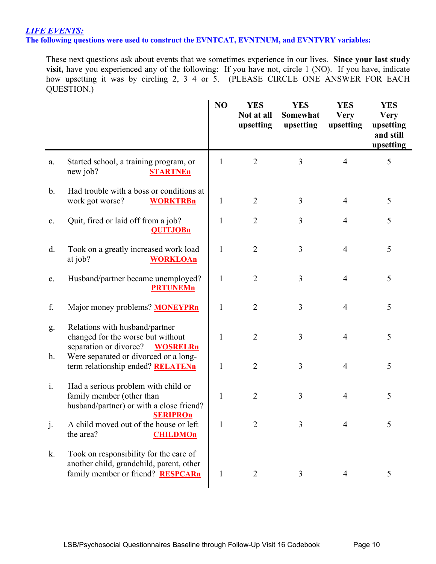# *LIFE EVENTS:* **The following questions were used to construct the EVNTCAT, EVNTNUM, and EVNTVRY variables:**

These next questions ask about events that we sometimes experience in our lives. **Since your last study visit,** have you experienced any of the following: If you have not, circle 1 (NO). If you have, indicate how upsetting it was by circling 2, 3 4 or 5. (PLEASE CIRCLE ONE ANSWER FOR EACH QUESTION.)

|                |                                                                                                                                 | NO           | <b>YES</b><br>Not at all<br>upsetting | <b>YES</b><br>Somewhat<br>upsetting | <b>YES</b><br><b>Very</b><br>upsetting | <b>YES</b><br><b>Very</b><br>upsetting<br>and still<br>upsetting |
|----------------|---------------------------------------------------------------------------------------------------------------------------------|--------------|---------------------------------------|-------------------------------------|----------------------------------------|------------------------------------------------------------------|
| a.             | Started school, a training program, or<br><b>STARTNEn</b><br>new job?                                                           | $\mathbf{1}$ | $\overline{2}$                        | 3                                   | $\overline{4}$                         | 5                                                                |
| $\mathbf b$ .  | Had trouble with a boss or conditions at<br>work got worse?<br><b>WORKTRBn</b>                                                  | $\mathbf{1}$ | $\overline{2}$                        | 3                                   | $\overline{4}$                         | 5                                                                |
| c.             | Quit, fired or laid off from a job?<br><b>QUITJOBn</b>                                                                          | $\mathbf{1}$ | $\overline{2}$                        | 3                                   | 4                                      | 5                                                                |
| d.             | Took on a greatly increased work load<br>at job?<br><b>WORKLOAn</b>                                                             | $\mathbf{1}$ | $\overline{2}$                        | 3                                   | $\overline{4}$                         | 5                                                                |
| e.             | Husband/partner became unemployed?<br><b>PRTUNEMn</b>                                                                           | $\mathbf{1}$ | $\overline{2}$                        | 3                                   | $\overline{4}$                         | 5                                                                |
| f.             | Major money problems? MONEYPRn                                                                                                  | $\mathbf{1}$ | $\overline{2}$                        | 3                                   | $\overline{4}$                         | 5                                                                |
| g.             | Relations with husband/partner<br>changed for the worse but without<br>separation or divorce?<br><b>WOSRELRn</b>                | 1            | $\overline{2}$                        | 3                                   | $\overline{4}$                         | 5                                                                |
| h.             | Were separated or divorced or a long-<br>term relationship ended? RELATENn                                                      | $\mathbf{1}$ | $\overline{2}$                        | 3                                   | $\overline{4}$                         | 5                                                                |
| $\mathbf{i}$ . | Had a serious problem with child or<br>family member (other than<br>husband/partner) or with a close friend?<br><b>SERIPROn</b> | $\mathbf{1}$ | $\overline{2}$                        | 3                                   | $\overline{4}$                         | 5                                                                |
| $\mathbf{j}$ . | A child moved out of the house or left<br>the area?<br><b>CHILDMOn</b>                                                          | 1            | 2                                     | 3                                   | 4                                      | 5                                                                |
| k.             | Took on responsibility for the care of<br>another child, grandchild, parent, other<br>family member or friend? RESPCARn         | $\mathbf{1}$ | 2                                     | 3                                   | 4                                      | 5                                                                |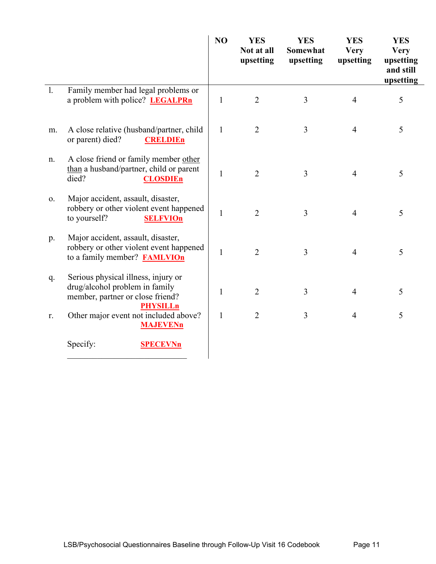|    |                                                                                                                              | NO           | <b>YES</b><br>Not at all<br>upsetting | <b>YES</b><br>Somewhat<br>upsetting | <b>YES</b><br><b>Very</b><br>upsetting | <b>YES</b><br><b>Very</b><br>upsetting<br>and still<br>upsetting |
|----|------------------------------------------------------------------------------------------------------------------------------|--------------|---------------------------------------|-------------------------------------|----------------------------------------|------------------------------------------------------------------|
| 1. | Family member had legal problems or<br>a problem with police? LEGALPRn                                                       | $\mathbf{1}$ | $\overline{2}$                        | 3                                   | $\overline{4}$                         | 5                                                                |
| m. | A close relative (husband/partner, child<br>or parent) died?<br><b>CRELDIEn</b>                                              | $\mathbf{1}$ | $\overline{2}$                        | $\overline{3}$                      | $\overline{4}$                         | 5                                                                |
| n. | A close friend or family member other<br>than a husband/partner, child or parent<br>died?<br><b>CLOSDIEn</b>                 | $\mathbf{1}$ | $\overline{2}$                        | 3                                   | $\overline{4}$                         | 5                                                                |
| 0. | Major accident, assault, disaster,<br>robbery or other violent event happened<br>to yourself?<br><b>SELFVIOn</b>             | $\mathbf{1}$ | $\overline{2}$                        | 3                                   | $\overline{4}$                         | 5                                                                |
| p. | Major accident, assault, disaster,<br>robbery or other violent event happened<br>to a family member? <b>FAMLVIOn</b>         | $\mathbf{1}$ | $\overline{2}$                        | 3                                   | $\overline{4}$                         | 5                                                                |
| q. | Serious physical illness, injury or<br>drug/alcohol problem in family<br>member, partner or close friend?<br><b>PHYSILLn</b> | $\mathbf{1}$ | $\overline{2}$                        | 3                                   | $\overline{4}$                         | 5                                                                |
| r. | Other major event not included above?<br><b>MAJEVENn</b>                                                                     | $\mathbf{1}$ | $\overline{2}$                        | 3                                   | $\overline{4}$                         | 5                                                                |
|    | Specify:<br><b>SPECEVNn</b>                                                                                                  |              |                                       |                                     |                                        |                                                                  |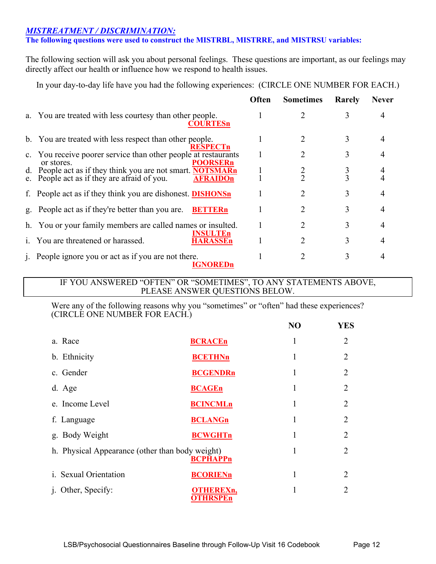# *MISTREATMENT / DISCRIMINATION:*

#### **The following questions were used to construct the MISTRBL, MISTRRE, and MISTRSU variables:**

The following section will ask you about personal feelings. These questions are important, as our feelings may directly affect our health or influence how we respond to health issues.

In your day-to-day life have you had the following experiences: (CIRCLE ONE NUMBER FOR EACH.)

|                                                                                          | <b>Often</b> | <b>Sometimes</b> | Rarely | <b>Never</b> |
|------------------------------------------------------------------------------------------|--------------|------------------|--------|--------------|
| a. You are treated with less courtesy than other people.<br><b>OURTESn</b>               |              |                  |        |              |
| b. You are treated with less respect than other people.<br>RESPECTn                      |              |                  |        |              |
| c. You receive poorer service than other people at restaurants<br>POORSERn<br>or stores. |              |                  |        |              |
| d. People act as if they think you are not smart. NOTSMARn                               |              |                  |        |              |
| e. People act as if they are afraid of you.<br><b>AFRAIDOn</b>                           |              | C                |        |              |
| f. People act as if they think you are dishonest. <b>DISHONS</b>                         |              | 2                | 3      |              |
| g. People act as if they're better than you are.<br><b>BETTERn</b>                       |              |                  |        |              |
| h. You or your family members are called names or insulted.                              |              |                  | 3      |              |
| <b>INSULTEn</b><br>i. You are threatened or harassed.<br>ARASSEn                         |              |                  |        |              |
| <i>i.</i> People ignore you or act as if you are not there.<br>IGNOREDn                  |              |                  | 3      |              |

#### IF YOU ANSWERED "OFTEN" OR "SOMETIMES", TO ANY STATEMENTS ABOVE, PLEASE ANSWER QUESTIONS BELOW.

Were any of the following reasons why you "sometimes" or "often" had these experiences? (CIRCLE ONE NUMBER FOR EACH.)

|                                                 |                             | N <sub>O</sub> | <b>YES</b>     |
|-------------------------------------------------|-----------------------------|----------------|----------------|
| a. Race                                         | <b>BCRACEn</b>              | 1              | $\overline{2}$ |
| b. Ethnicity                                    | <b>BCETHNn</b>              | 1              | $\overline{2}$ |
| c. Gender                                       | <b>BCGENDRn</b>             |                | $\overline{2}$ |
| d. Age                                          | <b>BCAGEn</b>               | 1              | $\overline{2}$ |
| e. Income Level                                 | <b>BCINCMLn</b>             | 1              | $\overline{2}$ |
| f. Language                                     | <b>BCLANGn</b>              |                | $\overline{2}$ |
| g. Body Weight                                  | <b>BCWGHTn</b>              |                | $\overline{2}$ |
| h. Physical Appearance (other than body weight) | <b>BCPHAPPn</b>             | 1              | $\overline{2}$ |
| i. Sexual Orientation                           | <b>BCORIENn</b>             | 1              | $\overline{2}$ |
| <i>i.</i> Other, Specify:                       | <b>THEREXn,</b><br>OTHRSPEn |                | $\overline{2}$ |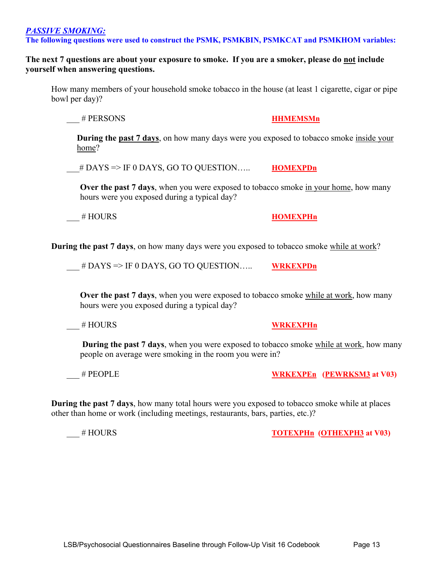*PASSIVE SMOKING:*

**The following questions were used to construct the PSMK, PSMKBIN, PSMKCAT and PSMKHOM variables:**

# **The next 7 questions are about your exposure to smoke. If you are a smoker, please do not include yourself when answering questions.**

How many members of your household smoke tobacco in the house (at least 1 cigarette, cigar or pipe bowl per day)?

\_\_\_ # PERSONS **HHMEMSMn**

**During the past 7 days**, on how many days were you exposed to tobacco smoke inside your home?

\_\_\_# DAYS => IF 0 DAYS, GO TO QUESTION….. **HOMEXPDn**

**Over the past 7 days**, when you were exposed to tobacco smoke in your home, how many hours were you exposed during a typical day?

\_\_\_ # HOURS **HOMEXPHn**

**During the past 7 days**, on how many days were you exposed to tobacco smoke while at work?

\_\_\_ # DAYS => IF 0 DAYS, GO TO QUESTION….. **WRKEXPDn**

**Over the past 7 days**, when you were exposed to tobacco smoke while at work, how many hours were you exposed during a typical day?

\_\_\_ # HOURS **WRKEXPHn**

**During the past 7 days**, when you were exposed to tobacco smoke while at work, how many people on average were smoking in the room you were in?

\_\_\_ # PEOPLE **WRKEXPEn (PEWRKSM3 at V03)**

**During the past 7 days**, how many total hours were you exposed to tobacco smoke while at places other than home or work (including meetings, restaurants, bars, parties, etc.)?

\_\_\_ # HOURS **TOTEXPHn (OTHEXPH3 at V03)**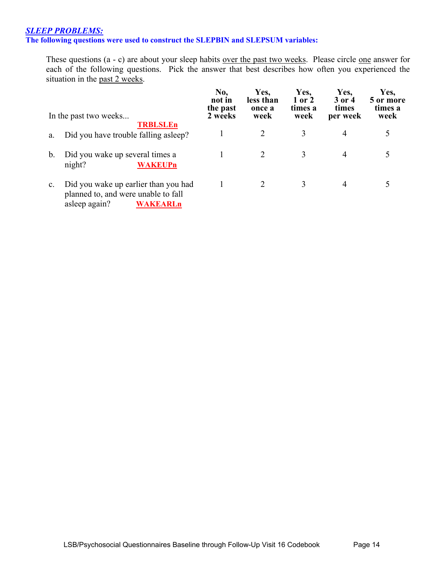# *SLEEP PROBLEMS:* **The following questions were used to construct the SLEPBIN and SLEPSUM variables:**

These questions (a - c) are about your sleep habits over the past two weeks. Please circle one answer for each of the following questions. Pick the answer that best describes how often you experienced the situation in the past 2 weeks.

|                | In the past two weeks                                                                                           | No,<br>not in<br>the past<br>2 weeks | Yes,<br>less than<br>once a<br>week | Yes,<br>1 or 2<br>times a<br>week | Yes,<br>3 or 4<br>times<br>per week | Yes,<br>5 or more<br>times a<br>week |
|----------------|-----------------------------------------------------------------------------------------------------------------|--------------------------------------|-------------------------------------|-----------------------------------|-------------------------------------|--------------------------------------|
|                | <b>TRBLSLEn</b>                                                                                                 |                                      |                                     |                                   |                                     |                                      |
| a.             | Did you have trouble falling as leep?                                                                           |                                      | 2                                   | 3                                 | 4                                   |                                      |
| $\mathbf b$ .  | Did you wake up several times a<br>night?<br><b>WAKEUPn</b>                                                     |                                      | 2                                   | 3                                 | 4                                   |                                      |
| $\mathbf{c}$ . | Did you wake up earlier than you had<br>planned to, and were unable to fall<br>asleep again?<br><b>WAKEARLn</b> |                                      | 2                                   | 3                                 | 4                                   |                                      |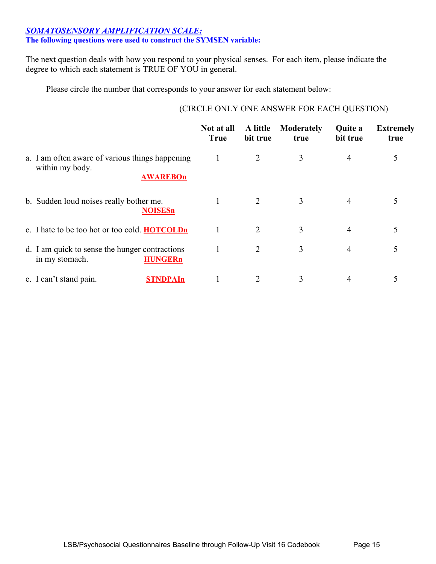# *SOMATOSENSORY AMPLIFICATION SCALE:* **The following questions were used to construct the SYMSEN variable:**

The next question deals with how you respond to your physical senses. For each item, please indicate the degree to which each statement is TRUE OF YOU in general.

Please circle the number that corresponds to your answer for each statement below:

# (CIRCLE ONLY ONE ANSWER FOR EACH QUESTION)

|                                                                                       | Not at all<br><b>True</b> | A little<br>bit true | <b>Moderately</b><br>true | Quite a<br>bit true | <b>Extremely</b><br>true |
|---------------------------------------------------------------------------------------|---------------------------|----------------------|---------------------------|---------------------|--------------------------|
| a. I am often aware of various things happening<br>within my body.<br><b>AWAREBOn</b> |                           | 2                    | 3                         | 4                   |                          |
| b. Sudden loud noises really bother me.<br><b>NOISESn</b>                             | 1                         | 2                    | 3                         | 4                   | 5                        |
| c. I hate to be too hot or too cold. HOTCOLDn                                         |                           | 2                    | 3                         | 4                   | 5                        |
| d. I am quick to sense the hunger contractions<br>in my stomach.<br><b>HUNGERn</b>    |                           | 2                    | 3                         | 4                   | 5                        |
| e. I can't stand pain.<br><b>STNDPAIn</b>                                             |                           |                      | 3                         | 4                   |                          |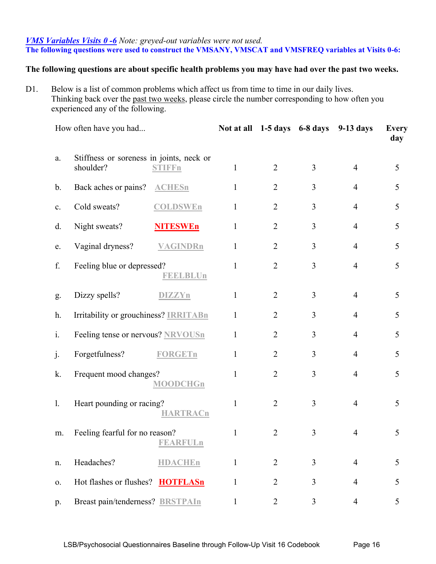# *VMS Variables Visits 0 -6 Note: greyed-out variables were not used.* **The following questions were used to construct the VMSANY, VMSCAT and VMSFREQ variables at Visits 0-6:**

# **The following questions are about specific health problems you may have had over the past two weeks.**

D1. Below is a list of common problems which affect us from time to time in our daily lives. Thinking back over the past two weeks, please circle the number corresponding to how often you experienced any of the following.

|             | How often have you had                                |                 | Not at all   |                | $1-5$ days 6-8 days | $9-13$ days    | <b>Every</b><br>day |
|-------------|-------------------------------------------------------|-----------------|--------------|----------------|---------------------|----------------|---------------------|
| a.          | Stiffness or soreness in joints, neck or<br>shoulder? | <b>STIFFn</b>   | $\mathbf{1}$ | $\overline{2}$ | $\overline{3}$      | $\overline{4}$ | 5                   |
| b.          | Back aches or pains?                                  | <b>ACHESn</b>   | $\mathbf{1}$ | $\overline{2}$ | $\overline{3}$      | $\overline{4}$ | 5                   |
| c.          | Cold sweats?                                          | <b>COLDSWEn</b> | $\mathbf{1}$ | $\overline{2}$ | 3                   | $\overline{4}$ | 5                   |
| d.          | Night sweats?                                         | <b>NITESWEn</b> | $\mathbf{1}$ | $\overline{2}$ | $\overline{3}$      | $\overline{4}$ | 5                   |
| e.          | Vaginal dryness?                                      | <b>VAGINDRn</b> | $\mathbf{1}$ | $\overline{2}$ | 3                   | $\overline{4}$ | 5                   |
| f.          | Feeling blue or depressed?                            | <b>FEELBLUn</b> | $\mathbf{1}$ | $\overline{2}$ | $\overline{3}$      | $\overline{4}$ | 5                   |
| g.          | Dizzy spells?                                         | <b>DIZZYn</b>   | $\mathbf{1}$ | $\overline{2}$ | 3                   | $\overline{4}$ | 5                   |
| h.          | Irritability or grouchiness? <b>IRRITABn</b>          |                 | $\mathbf{1}$ | $\overline{2}$ | $\overline{3}$      | $\overline{4}$ | 5                   |
| i.          | Feeling tense or nervous? NRVOUSn                     |                 | $\mathbf{1}$ | $\overline{2}$ | 3                   | $\overline{4}$ | 5                   |
| $\dot{J}$ . | Forgetfulness?                                        | <b>FORGETn</b>  | $\mathbf{1}$ | $\overline{2}$ | $\overline{3}$      | $\overline{4}$ | 5                   |
| k.          | Frequent mood changes?                                | <b>MOODCHGn</b> | $\mathbf{1}$ | $\overline{2}$ | $\overline{3}$      | $\overline{4}$ | 5                   |
| 1.          | Heart pounding or racing?                             | <b>HARTRACn</b> | $\mathbf{1}$ | $\overline{2}$ | 3                   | $\overline{4}$ | 5                   |
| m.          | Feeling fearful for no reason?                        | FEARFULn        | $\mathbf{1}$ | $\overline{2}$ | 3                   | $\overline{4}$ | 5                   |
| n.          | Headaches?                                            | <b>HDACHEn</b>  | $\mathbf{1}$ | 2              | 3                   | $\overline{4}$ | 5                   |
| 0.          | Hot flashes or flushes? HOTFLASn                      |                 | $\mathbf{1}$ | $\overline{2}$ | 3                   | $\overline{4}$ | 5                   |
| p.          | Breast pain/tenderness? BRSTPAIn                      |                 | $\mathbf{1}$ | $\overline{2}$ | 3                   | $\overline{4}$ | 5                   |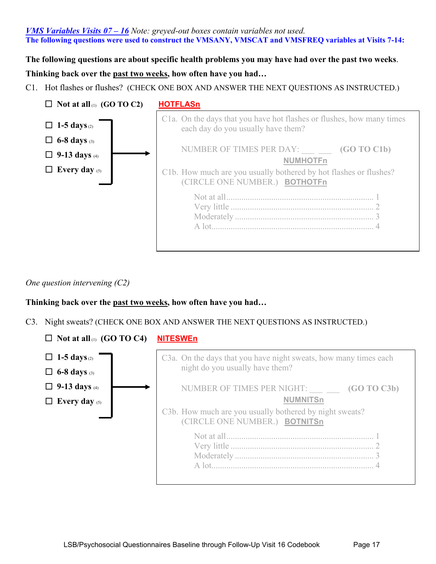**The following questions are about specific health problems you may have had over the past two weeks**. **Thinking back over the past two weeks, how often have you had…**

C1. Hot flashes or flushes? (CHECK ONE BOX AND ANSWER THE NEXT QUESTIONS AS INSTRUCTED.)



*One question intervening (C2)*

**Thinking back over the past two weeks, how often have you had…**

C3. Night sweats? (CHECK ONE BOX AND ANSWER THE NEXT QUESTIONS AS INSTRUCTED.)

|  |  | $\Box$ Not at all <sub>(1)</sub> (GO TO C4) <b>NITESWE</b> n |  |
|--|--|--------------------------------------------------------------|--|
|--|--|--------------------------------------------------------------|--|

| $\Box$ 1-5 days (2)<br>$\Box$ 6-8 days (3) | C3a. On the days that you have night sweats, how many times each<br>night do you usually have them?                                                                                                                                  |  |
|--------------------------------------------|--------------------------------------------------------------------------------------------------------------------------------------------------------------------------------------------------------------------------------------|--|
| $\Box$ 9-13 days (4)                       | NUMBER OF TIMES PER NIGHT:<br>(GO TO C3b)                                                                                                                                                                                            |  |
| $\Box$ Every day (5)                       | <b>NUMNITSn</b><br>C3b. How much are you usually bothered by night sweats?<br>(CIRCLE ONE NUMBER.) BOTNITSn                                                                                                                          |  |
|                                            | Not at all <u>with recommensures in the set of the set of the set of the set of the set of the set of the set of the set of the set of the set of the set of the set of the set of the set of the set of the set of the set of t</u> |  |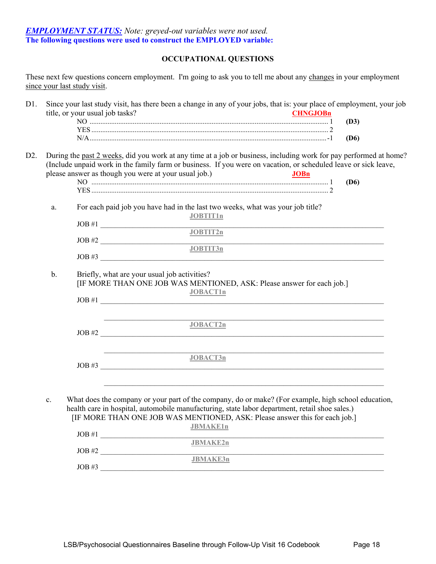# *EMPLOYMENT STATUS: Note: greyed-out variables were not used.* **The following questions were used to construct the EMPLOYED variable:**

# **OCCUPATIONAL QUESTIONS**

These next few questions concern employment. I'm going to ask you to tell me about any changes in your employment since your last study visit.

|       |                                                      |                                                                                                | (D6)                                                                                                              |
|-------|------------------------------------------------------|------------------------------------------------------------------------------------------------|-------------------------------------------------------------------------------------------------------------------|
|       |                                                      |                                                                                                | During the past 2 weeks, did you work at any time at a job or business, including work for pay performed at home? |
|       |                                                      |                                                                                                | (Include unpaid work in the family farm or business. If you were on vacation, or scheduled leave or sick leave,   |
|       | please answer as though you were at your usual job.) |                                                                                                | <b>JOBn</b>                                                                                                       |
|       |                                                      |                                                                                                | (D6)                                                                                                              |
|       |                                                      |                                                                                                |                                                                                                                   |
| a.    |                                                      | For each paid job you have had in the last two weeks, what was your job title?                 |                                                                                                                   |
|       |                                                      | JOBTIT1n                                                                                       |                                                                                                                   |
|       | $\overline{JOB}$ #1                                  | JOBTIT2n                                                                                       |                                                                                                                   |
|       | $\overline{JOB}$ #2                                  |                                                                                                |                                                                                                                   |
|       |                                                      | JOBTIT3n                                                                                       |                                                                                                                   |
|       |                                                      |                                                                                                | $\overline{JOB}$ #3                                                                                               |
|       |                                                      |                                                                                                |                                                                                                                   |
|       |                                                      |                                                                                                |                                                                                                                   |
|       | Briefly, what are your usual job activities?         |                                                                                                |                                                                                                                   |
|       |                                                      | [IF MORE THAN ONE JOB WAS MENTIONED, ASK: Please answer for each job.]<br>JOBACT1n             |                                                                                                                   |
|       |                                                      |                                                                                                | $\text{JOB} \#1$                                                                                                  |
| $b$ . |                                                      |                                                                                                |                                                                                                                   |
|       |                                                      | JOBACT2n                                                                                       |                                                                                                                   |
|       |                                                      |                                                                                                | $\overline{JOB}$ #2                                                                                               |
|       |                                                      |                                                                                                |                                                                                                                   |
|       |                                                      |                                                                                                |                                                                                                                   |
|       |                                                      | JOBACT3n                                                                                       | JOB #3                                                                                                            |
|       |                                                      |                                                                                                |                                                                                                                   |
|       |                                                      |                                                                                                |                                                                                                                   |
| c.    |                                                      |                                                                                                |                                                                                                                   |
|       |                                                      | health care in hospital, automobile manufacturing, state labor department, retail shoe sales.) | What does the company or your part of the company, do or make? (For example, high school education,               |
|       |                                                      |                                                                                                | [IF MORE THAN ONE JOB WAS MENTIONED, ASK: Please answer this for each job.]                                       |
|       |                                                      | <b>JBMAKE1n</b>                                                                                |                                                                                                                   |
|       | JOB #1                                               | <b>JBMAKE2n</b>                                                                                |                                                                                                                   |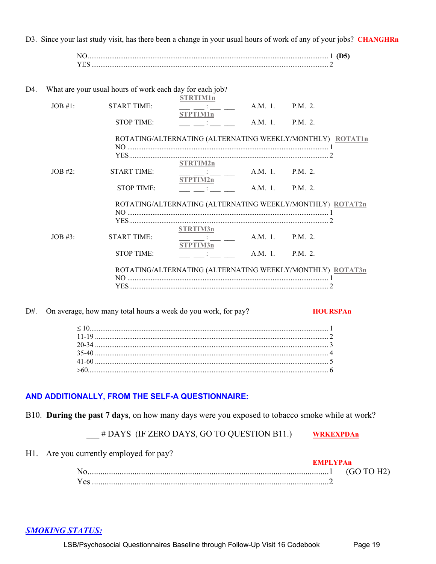D3. Since your last study visit, has there been a change in your usual hours of work of any of your jobs? CHANGHRn

| D4.<br>What are your usual hours of work each day for each job?<br>STRTIM1n |            |                    |                      |         |                                                           |
|-----------------------------------------------------------------------------|------------|--------------------|----------------------|---------|-----------------------------------------------------------|
|                                                                             | JOB #1:    | <b>START TIME:</b> |                      | A.M. 1. | P.M. 2.                                                   |
|                                                                             |            | <b>STOP TIME:</b>  | STPTIM1n             | A.M. 1. | P.M. 2.                                                   |
|                                                                             |            |                    |                      |         | ROTATING/ALTERNATING (ALTERNATING WEEKLY/MONTHLY) ROTAT1n |
|                                                                             |            |                    |                      |         |                                                           |
|                                                                             |            |                    | STRTIM2n             |         |                                                           |
|                                                                             | $JOB #2$ : | <b>START TIME:</b> |                      | A.M. 1. | P.M. 2.                                                   |
|                                                                             |            |                    | STPTIM2n             |         |                                                           |
|                                                                             |            | <b>STOP TIME:</b>  |                      | A.M. 1. | P.M. 2.                                                   |
|                                                                             |            |                    |                      |         | ROTATING/ALTERNATING (ALTERNATING WEEKLY/MONTHLY) ROTAT2n |
|                                                                             |            |                    |                      |         |                                                           |
|                                                                             | $JOB \#3:$ | <b>START TIME:</b> | STRTIM3n<br>STPTIM3n | A.M. 1. | P.M. 2.                                                   |
|                                                                             |            | <b>STOP TIME:</b>  |                      | A.M. 1. | P.M. 2.                                                   |
|                                                                             |            |                    |                      |         | ROTATING/ALTERNATING (ALTERNATING WEEKLY/MONTHLY) ROTAT3n |

On average, how many total hours a week do you work, for pay? D#.

**HOURSPAn** 

# AND ADDITIONALLY, FROM THE SELF-A QUESTIONNAIRE:

B10. During the past 7 days, on how many days were you exposed to tobacco smoke while at work?

 $\#$  DAYS (IF ZERO DAYS, GO TO QUESTION B11.) **WRKEXPDAn** 

H1. Are you currently employed for pay?

| $\blacksquare$  | EMPLYPAn |           |
|-----------------|----------|-----------|
| $N_{\Omega}$    |          | (GO TO H2 |
| $V_{\text{ec}}$ |          |           |

# **SMOKING STATUS:**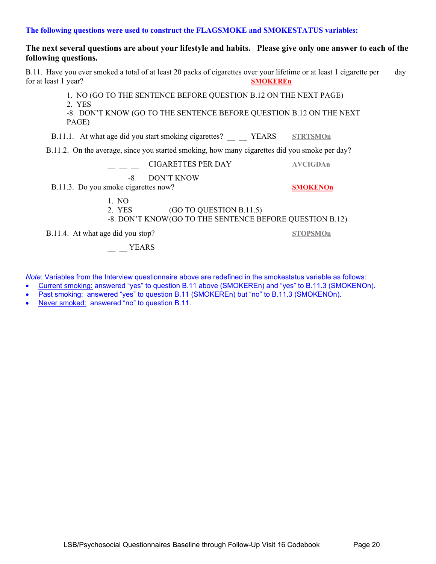#### **The following questions were used to construct the FLAGSMOKE and SMOKESTATUS variables:**

# **The next several questions are about your lifestyle and habits. Please give only one answer to each of the following questions.**

B.11. Have you ever smoked a total of at least 20 packs of cigarettes over your lifetime or at least 1 cigarette per day for at least 1 year? **SMOKEREn**

1. NO (GO TO THE SENTENCE BEFORE QUESTION B.12 ON THE NEXT PAGE)

2. YES

-8. DON'T KNOW (GO TO THE SENTENCE BEFORE QUESTION B.12 ON THE NEXT PAGE)

B.11.1. At what age did you start smoking cigarettes? YEARS **STRTSMOn** 

B.11.2. On the average, since you started smoking, how many cigarettes did you smoke per day?

\_\_ \_\_ \_\_ CIGARETTES PER DAY **AVCIGDAn**

-8 DON'T KNOW

B.11.3. Do you smoke cigarettes now? **SMOKENOn**

1. NO

2. YES (GO TO QUESTION B.11.5)

-8. DON'T KNOW(GO TO THE SENTENCE BEFORE QUESTION B.12)

B.11.4. At what age did you stop? **STOPSMOn**

 $YEARS$ 

*Note*: Variables from the Interview questionnaire above are redefined in the smokestatus variable as follows:

- Current smoking: answered "yes" to question B.11 above (SMOKEREn) and "yes" to B.11.3 (SMOKENOn).
- Past smoking: answered "yes" to question B.11 (SMOKEREn) but "no" to B.11.3 (SMOKENOn).
- Never smoked: answered "no" to question B.11.